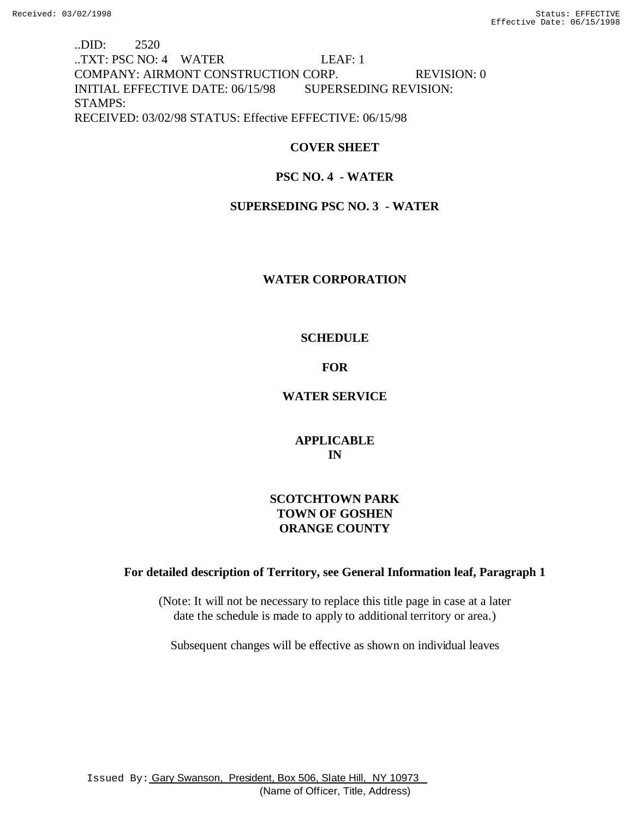..DID: 2520 ..TXT: PSC NO: 4 WATER LEAF: 1 COMPANY: AIRMONT CONSTRUCTION CORP. REVISION: 0 INITIAL EFFECTIVE DATE: 06/15/98 SUPERSEDING REVISION: STAMPS: RECEIVED: 03/02/98 STATUS: Effective EFFECTIVE: 06/15/98

# **COVER SHEET**

# **PSC NO. 4 - WATER**

# **SUPERSEDING PSC NO. 3 - WATER**

## **WATER CORPORATION**

## **SCHEDULE**

# **FOR**

## **WATER SERVICE**

**APPLICABLE IN**

# **SCOTCHTOWN PARK TOWN OF GOSHEN ORANGE COUNTY**

## **For detailed description of Territory, see General Information leaf, Paragraph 1**

(Note: It will not be necessary to replace this title page in case at a later date the schedule is made to apply to additional territory or area.)

Subsequent changes will be effective as shown on individual leaves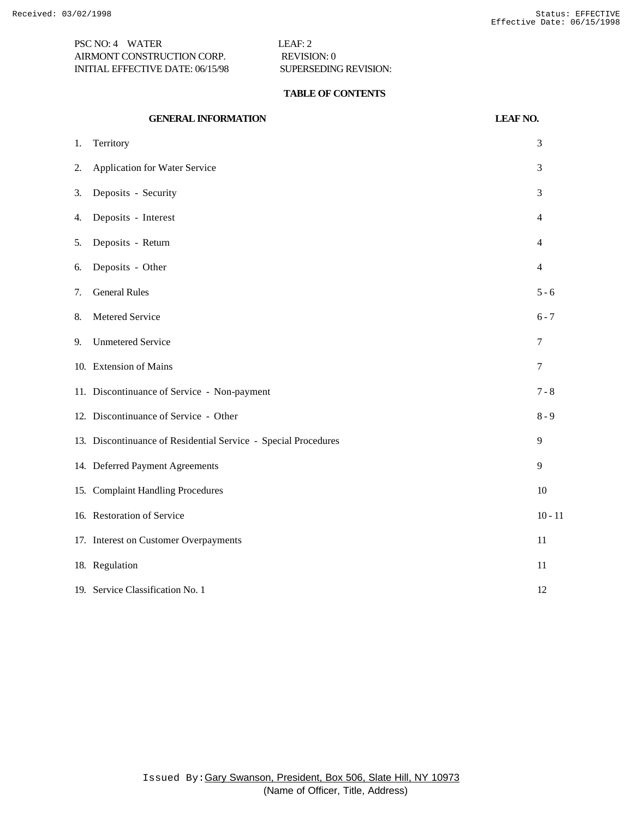PSC NO: 4 WATER LEAF: 2 AIRMONT CONSTRUCTION CORP. REVISION: 0 INITIAL EFFECTIVE DATE: 06/15/98 SUPERSEDING REVISION:

### **TABLE OF CONTENTS**

|    | <b>GENERAL INFORMATION</b>                                     | <b>LEAF NO.</b> |
|----|----------------------------------------------------------------|-----------------|
| 1. | Territory                                                      | 3               |
| 2. | Application for Water Service                                  | 3               |
| 3. | Deposits - Security                                            | 3               |
| 4. | Deposits - Interest                                            | $\overline{4}$  |
| 5. | Deposits - Return                                              | 4               |
| 6. | Deposits - Other                                               | $\overline{4}$  |
| 7. | <b>General Rules</b>                                           | $5 - 6$         |
| 8. | Metered Service                                                | $6 - 7$         |
| 9. | <b>Unmetered Service</b>                                       | 7               |
|    | 10. Extension of Mains                                         | 7               |
|    | 11. Discontinuance of Service - Non-payment                    | $7 - 8$         |
|    | 12. Discontinuance of Service - Other                          | $8 - 9$         |
|    | 13. Discontinuance of Residential Service - Special Procedures | 9               |
|    | 14. Deferred Payment Agreements                                | 9               |
|    | 15. Complaint Handling Procedures                              | 10              |
|    | 16. Restoration of Service                                     | $10 - 11$       |
|    | 17. Interest on Customer Overpayments                          | 11              |
|    | 18. Regulation                                                 | 11              |
|    | 19. Service Classification No. 1                               | 12              |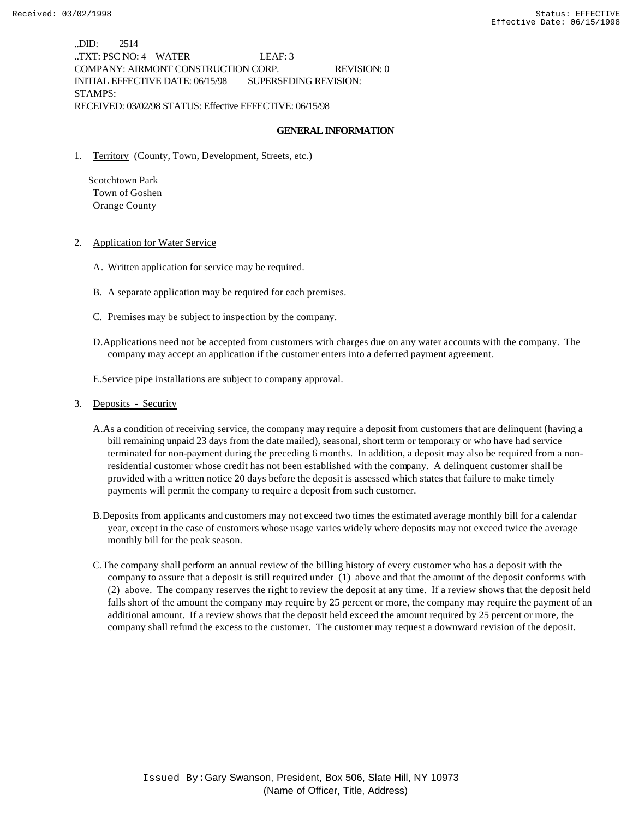..DID: 2514 ..TXT: PSC NO: 4 WATER LEAF: 3 COMPANY: AIRMONT CONSTRUCTION CORP. REVISION: 0 INITIAL EFFECTIVE DATE: 06/15/98 SUPERSEDING REVISION: STAMPS: RECEIVED: 03/02/98 STATUS: Effective EFFECTIVE: 06/15/98

#### **GENERAL INFORMATION**

1. Territory (County, Town, Development, Streets, etc.)

 Scotchtown Park Town of Goshen Orange County

- 2. Application for Water Service
	- A. Written application for service may be required.
	- B. A separate application may be required for each premises.
	- C. Premises may be subject to inspection by the company.
	- D.Applications need not be accepted from customers with charges due on any water accounts with the company. The company may accept an application if the customer enters into a deferred payment agreement.

E.Service pipe installations are subject to company approval.

### 3. Deposits - Security

- A.As a condition of receiving service, the company may require a deposit from customers that are delinquent (having a bill remaining unpaid 23 days from the date mailed), seasonal, short term or temporary or who have had service terminated for non-payment during the preceding 6 months. In addition, a deposit may also be required from a nonresidential customer whose credit has not been established with the company. A delinquent customer shall be provided with a written notice 20 days before the deposit is assessed which states that failure to make timely payments will permit the company to require a deposit from such customer.
- B.Deposits from applicants and customers may not exceed two times the estimated average monthly bill for a calendar year, except in the case of customers whose usage varies widely where deposits may not exceed twice the average monthly bill for the peak season.
- C.The company shall perform an annual review of the billing history of every customer who has a deposit with the company to assure that a deposit is still required under (1) above and that the amount of the deposit conforms with (2) above. The company reserves the right to review the deposit at any time. If a review shows that the deposit held falls short of the amount the company may require by 25 percent or more, the company may require the payment of an additional amount. If a review shows that the deposit held exceed the amount required by 25 percent or more, the company shall refund the excess to the customer. The customer may request a downward revision of the deposit.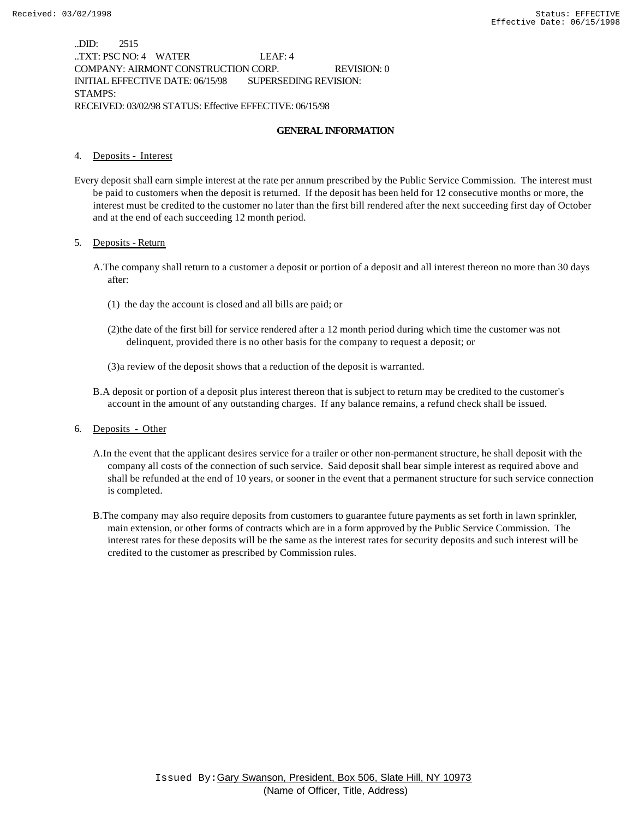..DID: 2515 ..TXT: PSC NO: 4 WATER LEAF: 4 COMPANY: AIRMONT CONSTRUCTION CORP. REVISION: 0 INITIAL EFFECTIVE DATE: 06/15/98 SUPERSEDING REVISION: STAMPS: RECEIVED: 03/02/98 STATUS: Effective EFFECTIVE: 06/15/98

#### **GENERAL INFORMATION**

#### 4. Deposits - Interest

Every deposit shall earn simple interest at the rate per annum prescribed by the Public Service Commission. The interest must be paid to customers when the deposit is returned. If the deposit has been held for 12 consecutive months or more, the interest must be credited to the customer no later than the first bill rendered after the next succeeding first day of October and at the end of each succeeding 12 month period.

#### 5. Deposits - Return

- A.The company shall return to a customer a deposit or portion of a deposit and all interest thereon no more than 30 days after:
	- (1) the day the account is closed and all bills are paid; or
	- (2)the date of the first bill for service rendered after a 12 month period during which time the customer was not delinquent, provided there is no other basis for the company to request a deposit; or
	- (3)a review of the deposit shows that a reduction of the deposit is warranted.
- B.A deposit or portion of a deposit plus interest thereon that is subject to return may be credited to the customer's account in the amount of any outstanding charges. If any balance remains, a refund check shall be issued.
- 6. Deposits Other
	- A.In the event that the applicant desires service for a trailer or other non-permanent structure, he shall deposit with the company all costs of the connection of such service. Said deposit shall bear simple interest as required above and shall be refunded at the end of 10 years, or sooner in the event that a permanent structure for such service connection is completed.
	- B.The company may also require deposits from customers to guarantee future payments as set forth in lawn sprinkler, main extension, or other forms of contracts which are in a form approved by the Public Service Commission. The interest rates for these deposits will be the same as the interest rates for security deposits and such interest will be credited to the customer as prescribed by Commission rules.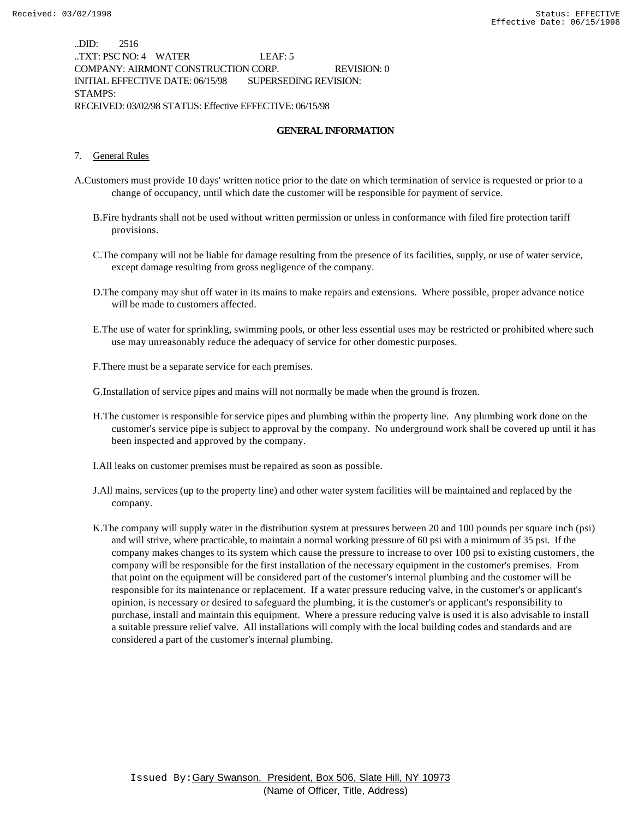..DID: 2516 ..TXT: PSC NO: 4 WATER LEAF: 5 COMPANY: AIRMONT CONSTRUCTION CORP. REVISION: 0 INITIAL EFFECTIVE DATE: 06/15/98 SUPERSEDING REVISION: STAMPS: RECEIVED: 03/02/98 STATUS: Effective EFFECTIVE: 06/15/98

### **GENERAL INFORMATION**

#### 7. General Rules

- A.Customers must provide 10 days' written notice prior to the date on which termination of service is requested or prior to a change of occupancy, until which date the customer will be responsible for payment of service.
	- B.Fire hydrants shall not be used without written permission or unless in conformance with filed fire protection tariff provisions.
	- C.The company will not be liable for damage resulting from the presence of its facilities, supply, or use of water service, except damage resulting from gross negligence of the company.
	- D.The company may shut off water in its mains to make repairs and extensions. Where possible, proper advance notice will be made to customers affected.
	- E.The use of water for sprinkling, swimming pools, or other less essential uses may be restricted or prohibited where such use may unreasonably reduce the adequacy of service for other domestic purposes.
	- F.There must be a separate service for each premises.

G.Installation of service pipes and mains will not normally be made when the ground is frozen.

- H.The customer is responsible for service pipes and plumbing within the property line. Any plumbing work done on the customer's service pipe is subject to approval by the company. No underground work shall be covered up until it has been inspected and approved by the company.
- I.All leaks on customer premises must be repaired as soon as possible.
- J.All mains, services (up to the property line) and other water system facilities will be maintained and replaced by the company.
- K.The company will supply water in the distribution system at pressures between 20 and 100 pounds per square inch (psi) and will strive, where practicable, to maintain a normal working pressure of 60 psi with a minimum of 35 psi. If the company makes changes to its system which cause the pressure to increase to over 100 psi to existing customers, the company will be responsible for the first installation of the necessary equipment in the customer's premises. From that point on the equipment will be considered part of the customer's internal plumbing and the customer will be responsible for its maintenance or replacement. If a water pressure reducing valve, in the customer's or applicant's opinion, is necessary or desired to safeguard the plumbing, it is the customer's or applicant's responsibility to purchase, install and maintain this equipment. Where a pressure reducing valve is used it is also advisable to install a suitable pressure relief valve. All installations will comply with the local building codes and standards and are considered a part of the customer's internal plumbing.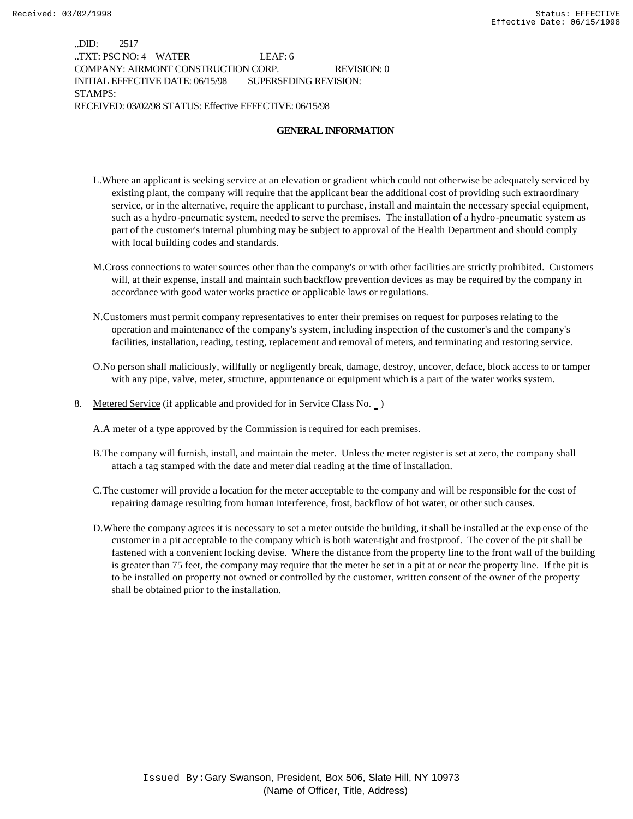..DID: 2517 ..TXT: PSC NO: 4 WATER LEAF: 6 COMPANY: AIRMONT CONSTRUCTION CORP. REVISION: 0 INITIAL EFFECTIVE DATE: 06/15/98 SUPERSEDING REVISION: STAMPS: RECEIVED: 03/02/98 STATUS: Effective EFFECTIVE: 06/15/98

### **GENERAL INFORMATION**

- L.Where an applicant is seeking service at an elevation or gradient which could not otherwise be adequately serviced by existing plant, the company will require that the applicant bear the additional cost of providing such extraordinary service, or in the alternative, require the applicant to purchase, install and maintain the necessary special equipment, such as a hydro-pneumatic system, needed to serve the premises. The installation of a hydro-pneumatic system as part of the customer's internal plumbing may be subject to approval of the Health Department and should comply with local building codes and standards.
- M.Cross connections to water sources other than the company's or with other facilities are strictly prohibited. Customers will, at their expense, install and maintain such backflow prevention devices as may be required by the company in accordance with good water works practice or applicable laws or regulations.
- N.Customers must permit company representatives to enter their premises on request for purposes relating to the operation and maintenance of the company's system, including inspection of the customer's and the company's facilities, installation, reading, testing, replacement and removal of meters, and terminating and restoring service.
- O.No person shall maliciously, willfully or negligently break, damage, destroy, uncover, deface, block access to or tamper with any pipe, valve, meter, structure, appurtenance or equipment which is a part of the water works system.
- 8. Metered Service (if applicable and provided for in Service Class No.  $\Box$ )

A.A meter of a type approved by the Commission is required for each premises.

- B.The company will furnish, install, and maintain the meter. Unless the meter register is set at zero, the company shall attach a tag stamped with the date and meter dial reading at the time of installation.
- C.The customer will provide a location for the meter acceptable to the company and will be responsible for the cost of repairing damage resulting from human interference, frost, backflow of hot water, or other such causes.
- D.Where the company agrees it is necessary to set a meter outside the building, it shall be installed at the exp ense of the customer in a pit acceptable to the company which is both water-tight and frostproof. The cover of the pit shall be fastened with a convenient locking devise. Where the distance from the property line to the front wall of the building is greater than 75 feet, the company may require that the meter be set in a pit at or near the property line. If the pit is to be installed on property not owned or controlled by the customer, written consent of the owner of the property shall be obtained prior to the installation.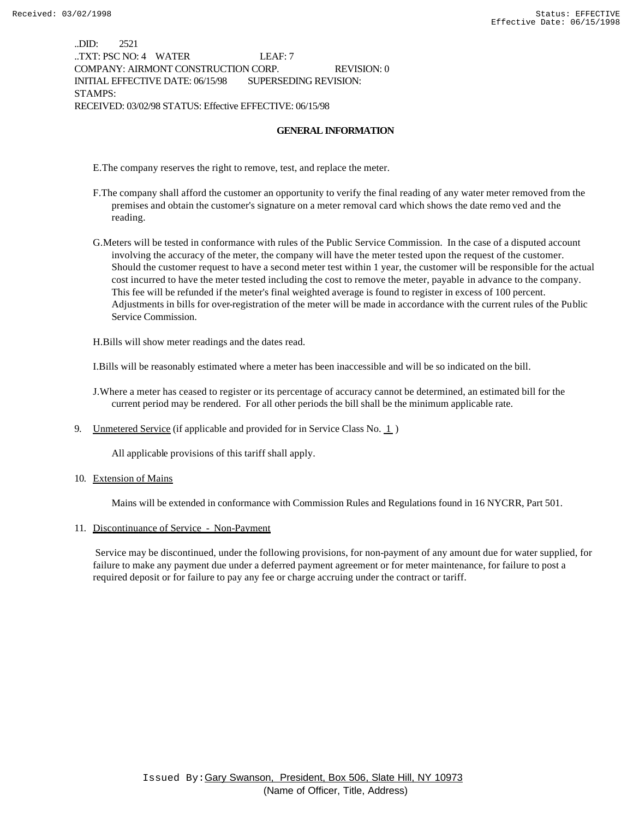..DID: 2521 ..TXT: PSC NO: 4 WATER LEAF: 7 COMPANY: AIRMONT CONSTRUCTION CORP. REVISION: 0 INITIAL EFFECTIVE DATE: 06/15/98 SUPERSEDING REVISION: STAMPS: RECEIVED: 03/02/98 STATUS: Effective EFFECTIVE: 06/15/98

#### **GENERAL INFORMATION**

E.The company reserves the right to remove, test, and replace the meter.

- F.The company shall afford the customer an opportunity to verify the final reading of any water meter removed from the premises and obtain the customer's signature on a meter removal card which shows the date remo ved and the reading.
- G.Meters will be tested in conformance with rules of the Public Service Commission. In the case of a disputed account involving the accuracy of the meter, the company will have the meter tested upon the request of the customer. Should the customer request to have a second meter test within 1 year, the customer will be responsible for the actual cost incurred to have the meter tested including the cost to remove the meter, payable in advance to the company. This fee will be refunded if the meter's final weighted average is found to register in excess of 100 percent. Adjustments in bills for over-registration of the meter will be made in accordance with the current rules of the Public Service Commission.

H.Bills will show meter readings and the dates read.

I.Bills will be reasonably estimated where a meter has been inaccessible and will be so indicated on the bill.

- J.Where a meter has ceased to register or its percentage of accuracy cannot be determined, an estimated bill for the current period may be rendered. For all other periods the bill shall be the minimum applicable rate.
- 9. Unmetered Service (if applicable and provided for in Service Class No.  $1$ )

All applicable provisions of this tariff shall apply.

10. Extension of Mains

Mains will be extended in conformance with Commission Rules and Regulations found in 16 NYCRR, Part 501.

#### 11. Discontinuance of Service - Non-Payment

 Service may be discontinued, under the following provisions, for non-payment of any amount due for water supplied, for failure to make any payment due under a deferred payment agreement or for meter maintenance, for failure to post a required deposit or for failure to pay any fee or charge accruing under the contract or tariff.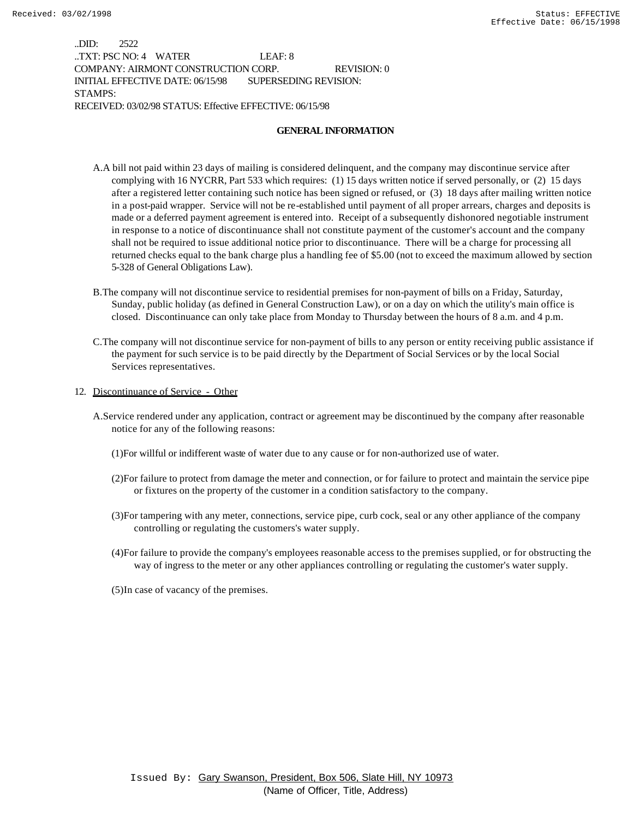..DID: 2522 ..TXT: PSC NO: 4 WATER LEAF: 8 COMPANY: AIRMONT CONSTRUCTION CORP. REVISION: 0 INITIAL EFFECTIVE DATE: 06/15/98 SUPERSEDING REVISION: STAMPS: RECEIVED: 03/02/98 STATUS: Effective EFFECTIVE: 06/15/98

### **GENERAL INFORMATION**

- A.A bill not paid within 23 days of mailing is considered delinquent, and the company may discontinue service after complying with 16 NYCRR, Part 533 which requires: (1) 15 days written notice if served personally, or (2) 15 days after a registered letter containing such notice has been signed or refused, or (3) 18 days after mailing written notice in a post-paid wrapper. Service will not be re-established until payment of all proper arrears, charges and deposits is made or a deferred payment agreement is entered into. Receipt of a subsequently dishonored negotiable instrument in response to a notice of discontinuance shall not constitute payment of the customer's account and the company shall not be required to issue additional notice prior to discontinuance. There will be a charge for processing all returned checks equal to the bank charge plus a handling fee of \$5.00 (not to exceed the maximum allowed by section 5-328 of General Obligations Law).
- B.The company will not discontinue service to residential premises for non-payment of bills on a Friday, Saturday, Sunday, public holiday (as defined in General Construction Law), or on a day on which the utility's main office is closed. Discontinuance can only take place from Monday to Thursday between the hours of 8 a.m. and 4 p.m.
- C.The company will not discontinue service for non-payment of bills to any person or entity receiving public assistance if the payment for such service is to be paid directly by the Department of Social Services or by the local Social Services representatives.
- 12. Discontinuance of Service Other
	- A.Service rendered under any application, contract or agreement may be discontinued by the company after reasonable notice for any of the following reasons:
		- (1)For willful or indifferent waste of water due to any cause or for non-authorized use of water.
		- (2)For failure to protect from damage the meter and connection, or for failure to protect and maintain the service pipe or fixtures on the property of the customer in a condition satisfactory to the company.
		- (3)For tampering with any meter, connections, service pipe, curb cock, seal or any other appliance of the company controlling or regulating the customers's water supply.
		- (4)For failure to provide the company's employees reasonable access to the premises supplied, or for obstructing the way of ingress to the meter or any other appliances controlling or regulating the customer's water supply.
		- (5)In case of vacancy of the premises.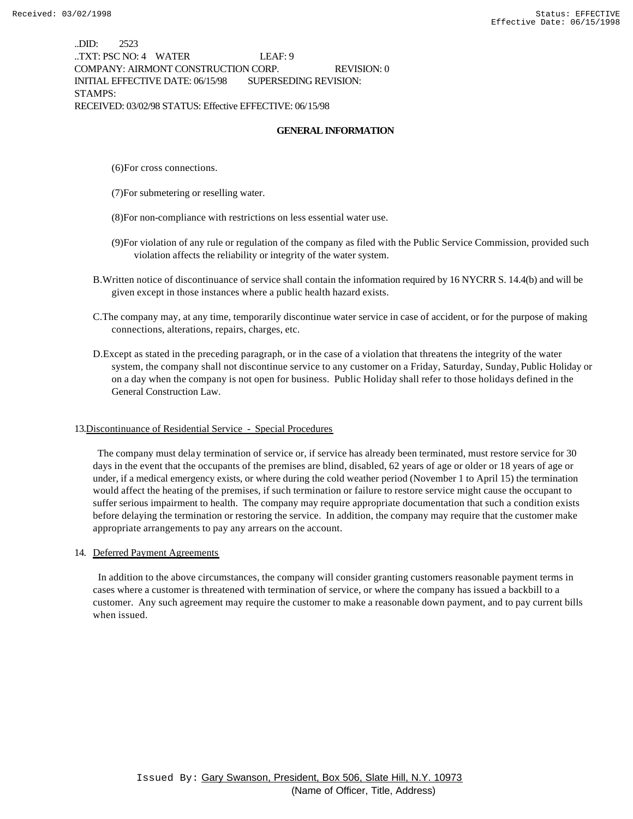..DID: 2523 ..TXT: PSC NO: 4 WATER LEAF: 9 COMPANY: AIRMONT CONSTRUCTION CORP. REVISION: 0 INITIAL EFFECTIVE DATE: 06/15/98 SUPERSEDING REVISION: STAMPS: RECEIVED: 03/02/98 STATUS: Effective EFFECTIVE: 06/15/98

#### **GENERAL INFORMATION**

(6)For cross connections.

(7)For submetering or reselling water.

(8)For non-compliance with restrictions on less essential water use.

- (9)For violation of any rule or regulation of the company as filed with the Public Service Commission, provided such violation affects the reliability or integrity of the water system.
- B.Written notice of discontinuance of service shall contain the information required by 16 NYCRR S. 14.4(b) and will be given except in those instances where a public health hazard exists.
- C.The company may, at any time, temporarily discontinue water service in case of accident, or for the purpose of making connections, alterations, repairs, charges, etc.
- D.Except as stated in the preceding paragraph, or in the case of a violation that threatens the integrity of the water system, the company shall not discontinue service to any customer on a Friday, Saturday, Sunday, Public Holiday or on a day when the company is not open for business. Public Holiday shall refer to those holidays defined in the General Construction Law.

#### 13.Discontinuance of Residential Service - Special Procedures

 The company must delay termination of service or, if service has already been terminated, must restore service for 30 days in the event that the occupants of the premises are blind, disabled, 62 years of age or older or 18 years of age or under, if a medical emergency exists, or where during the cold weather period (November 1 to April 15) the termination would affect the heating of the premises, if such termination or failure to restore service might cause the occupant to suffer serious impairment to health. The company may require appropriate documentation that such a condition exists before delaying the termination or restoring the service. In addition, the company may require that the customer make appropriate arrangements to pay any arrears on the account.

#### 14. Deferred Payment Agreements

 In addition to the above circumstances, the company will consider granting customers reasonable payment terms in cases where a customer is threatened with termination of service, or where the company has issued a backbill to a customer. Any such agreement may require the customer to make a reasonable down payment, and to pay current bills when issued.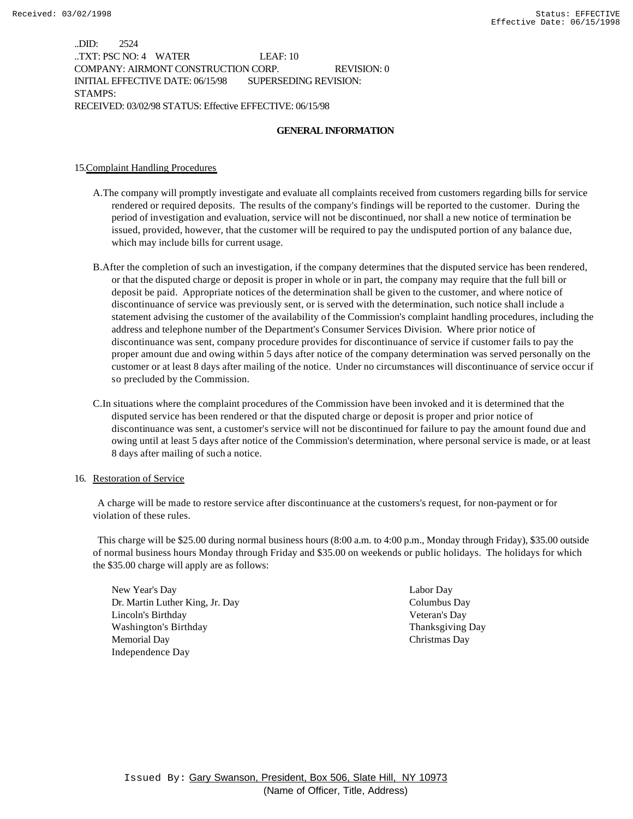..DID: 2524 ..TXT: PSC NO: 4 WATER LEAF: 10 COMPANY: AIRMONT CONSTRUCTION CORP. REVISION: 0 INITIAL EFFECTIVE DATE: 06/15/98 SUPERSEDING REVISION: STAMPS: RECEIVED: 03/02/98 STATUS: Effective EFFECTIVE: 06/15/98

### **GENERAL INFORMATION**

#### 15.Complaint Handling Procedures

- A.The company will promptly investigate and evaluate all complaints received from customers regarding bills for service rendered or required deposits. The results of the company's findings will be reported to the customer. During the period of investigation and evaluation, service will not be discontinued, nor shall a new notice of termination be issued, provided, however, that the customer will be required to pay the undisputed portion of any balance due, which may include bills for current usage.
- B.After the completion of such an investigation, if the company determines that the disputed service has been rendered, or that the disputed charge or deposit is proper in whole or in part, the company may require that the full bill or deposit be paid. Appropriate notices of the determination shall be given to the customer, and where notice of discontinuance of service was previously sent, or is served with the determination, such notice shall include a statement advising the customer of the availability of the Commission's complaint handling procedures, including the address and telephone number of the Department's Consumer Services Division. Where prior notice of discontinuance was sent, company procedure provides for discontinuance of service if customer fails to pay the proper amount due and owing within 5 days after notice of the company determination was served personally on the customer or at least 8 days after mailing of the notice. Under no circumstances will discontinuance of service occur if so precluded by the Commission.
- C.In situations where the complaint procedures of the Commission have been invoked and it is determined that the disputed service has been rendered or that the disputed charge or deposit is proper and prior notice of discontinuance was sent, a customer's service will not be discontinued for failure to pay the amount found due and owing until at least 5 days after notice of the Commission's determination, where personal service is made, or at least 8 days after mailing of such a notice.

#### 16. Restoration of Service

 A charge will be made to restore service after discontinuance at the customers's request, for non-payment or for violation of these rules.

 This charge will be \$25.00 during normal business hours (8:00 a.m. to 4:00 p.m., Monday through Friday), \$35.00 outside of normal business hours Monday through Friday and \$35.00 on weekends or public holidays. The holidays for which the \$35.00 charge will apply are as follows:

New Year's Day Labor Day Dr. Martin Luther King, Jr. Day Columbus Day Lincoln's Birthday Veteran's Day Washington's Birthday Thanksgiving Day Memorial Day Christmas Day Independence Day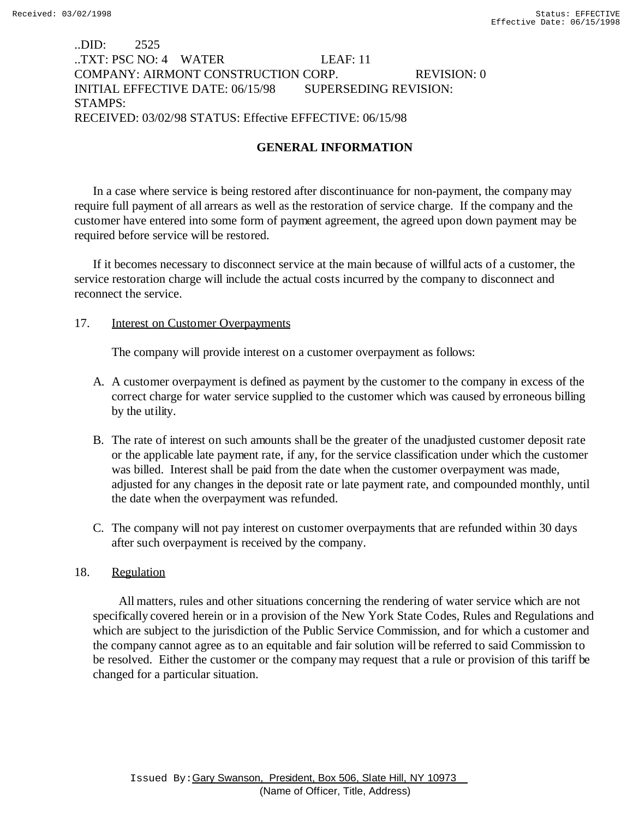# ..DID: 2525 ..TXT: PSC NO: 4 WATER LEAF: 11 COMPANY: AIRMONT CONSTRUCTION CORP. REVISION: 0 INITIAL EFFECTIVE DATE: 06/15/98 SUPERSEDING REVISION: STAMPS: RECEIVED: 03/02/98 STATUS: Effective EFFECTIVE: 06/15/98

# **GENERAL INFORMATION**

In a case where service is being restored after discontinuance for non-payment, the company may require full payment of all arrears as well as the restoration of service charge. If the company and the customer have entered into some form of payment agreement, the agreed upon down payment may be required before service will be restored.

If it becomes necessary to disconnect service at the main because of willful acts of a customer, the service restoration charge will include the actual costs incurred by the company to disconnect and reconnect the service.

## 17. Interest on Customer Overpayments

The company will provide interest on a customer overpayment as follows:

- A. A customer overpayment is defined as payment by the customer to the company in excess of the correct charge for water service supplied to the customer which was caused by erroneous billing by the utility.
- B. The rate of interest on such amounts shall be the greater of the unadjusted customer deposit rate or the applicable late payment rate, if any, for the service classification under which the customer was billed. Interest shall be paid from the date when the customer overpayment was made, adjusted for any changes in the deposit rate or late payment rate, and compounded monthly, until the date when the overpayment was refunded.
- C. The company will not pay interest on customer overpayments that are refunded within 30 days after such overpayment is received by the company.

## 18. Regulation

 All matters, rules and other situations concerning the rendering of water service which are not specifically covered herein or in a provision of the New York State Codes, Rules and Regulations and which are subject to the jurisdiction of the Public Service Commission, and for which a customer and the company cannot agree as to an equitable and fair solution will be referred to said Commission to be resolved. Either the customer or the company may request that a rule or provision of this tariff be changed for a particular situation.